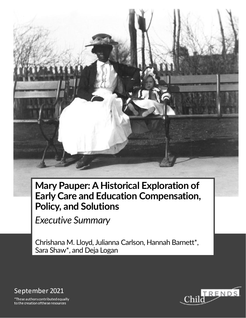**Mary Pauper: A Historical Exploration of Early Care and Education Compensation, Policy, and Solutions**

*Executive Summary*

Chrishana M. Lloyd, Julianna Carlson, Hannah Barnett\*, Sara Shaw\*, and Deja Logan



\*These authors contributed equally to the creation of these resources

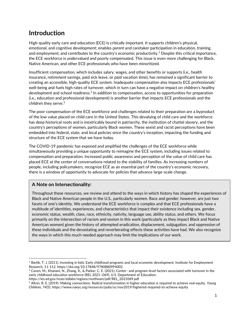### **Introduction**

High-quality early care and education (ECE) is critically important. It supports children's physical, emotional, and cognitive development; enables parent and caretaker participation in education, training, and employment; and contributes to the country's economic productivity.<sup>1</sup> Despite this critical importance, the ECE workforce is undervalued and poorly compensated. This issue is even more challenging for Black, Native American, and other ECE professionals who have been minoritized.

Insufficient compensation, which includes salary, wages, and other benefits or supports (i.e., health insurance, retirement savings, paid sick leave, or paid vacation time), has remained a significant barrier to creating an accessible, high-quality ECE system. Inadequate compensation also impacts ECE professionals' well-being and fuels high rates of turnover, which in turn can have a negative impact on children's healthy development and school readiness.<sup>2</sup> In addition to compensation, access to opportunities for preparation (i.e., education and professional development) is another barrier that impacts ECE professionals and the children they serve.<sup>3</sup>

The poor compensation of the ECE workforce and challenges related to their preparation are a byproduct of the low value placed on child care in the United States. This devaluing of child care and the workforce has deep historical roots and is inextricably bound in patriarchy, the institution of chattel slavery, and the country's perceptions of women, particularly Black women. These sexist and racist perceptions have been embedded into federal, state, and local policies since the country's inception, impacting the funding and structure of the ECE system that we have today.

The COVID-19 pandemic has exposed and amplified the challenges of the ECE workforce while simultaneously providing a unique opportunity to reimagine the ECE system, including issues related to compensation and preparation. Increased public awareness and perception of the value of child care has placed ECE at the center of conversations related to the stability of families. As increasing numbers of people, including policymakers, recognize ECE as an essential part of the country's economic recovery, there is a window of opportunity to advocate for policies that advance large-scale change.

#### **A Note on Intersectionality:**

Throughout these resources, we review and attend to the ways in which history has shaped the experiences of Black and Native American people in the U.S., particularly women. Race and gender, however, are just two facets of one's identity. We understand the ECE workforce is complex and that ECE professionals have a multitude of identities, experiences, and characteristics that impact their existence including sex, gender, economic status, wealth, class, race, ethnicity, nativity, language use, ability status, and others. We focus primarily on the intersection of racism and sexism in this work (particularly as they impact Black and Native American women) given the history of attempted eradication, displacement, subjugation, and oppression of these individuals and the devastating and reverberating effects these activities have had. We also recognize the ways in which this much needed approach may limit the implications of our work.

<sup>&</sup>lt;sup>1</sup> Bartik, T. J. (2011). Investing in kids: Early childhood programs and local economic development. Institute for Employment Research, 11-112. https://doi.org/10.17848/9780880994002

<sup>2</sup> Caven, M., Khanani, N., Zhang, X., & Parker, C. E. (2021). Center- and program-level factors associated with turnover in the early childhood education workforce (REL 2021–069). U.S. Department of Education.

https://ies.ed.gov/ncee/edlabs/regions/northeast/pdf/REL\_2021069.pdf

<sup>3</sup> Allvin, R. E. (2019). Making connections. Radical transformation in higher education is required to achieve real equity. *Young Children, 74*(5). https://www.naeyc.org/resources/pubs/yc/nov2019/highered-required-to-achieve-equity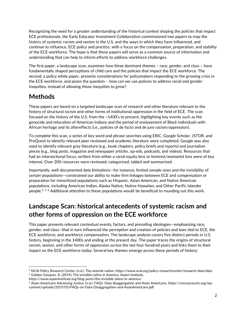Recognizing the need for a greater understanding of the historical context shaping the policies that impact ECE professionals, the Early Educator Investment Collaborative commissioned two papers to map the history of systemic racism and sexism in the U.S. and the ways in which they have influenced, and continue to influence, ECE policy and practice, with a focus on the compensation, preparation, and stability of the ECE workforce. The hope is that these papers will serve as a common source of information and understanding that can help to inform efforts to address workforce challenges.

The first paper, a landscape scan, examines how three dominant themes – race, gender, and class – have fundamentally shaped perceptions of child care and the policies that impact the ECE workforce. The second, a policy white paper, presents considerations for policymakers responding to the growing crisis in the ECE workforce, and poses the question – how can we use policies to address racial and gender inequities, instead of allowing those inequities to grow?

# **Methods**

These papers are based on a targeted landscape scan of research and other literature relevant to the history of structural racism and other forms of institutional oppression in the field of ECE. The scan focused on the history of the U.S. from the ~1400's to present, highlighting key events such as the genocide and relocation of American Indians and the period of enslavement of Black individuals with African heritage and its aftereffects (i.e., policies of de facto and de jure racism/oppression).

To complete this scan, a series of key word and phrase searches using ERIC, Google Scholar, JSTOR, and ProQuest to identify relevant peer reviewed and academic literature were completed. Google was also used to identify relevant gray literature (e.g., book chapters, policy briefs and reports) and journalism pieces (e.g., blog posts, magazine and newspaper articles, op-eds, podcasts, and videos). Resources that had an intersectional focus, written from either a racial equity lens or feminist/womanist lens were of key interest. Over 200 resources were reviewed, categorized, tabled and summarized.

Importantly, well-documented data limitations—for instance, limited sample sizes and the invisibility of certain populations—constrained our ability to make firm linkages between ECE and compensation or preparation for minoritized populations such as Hispanic, Asian American, and Native American populations, including American Indian, Alaska Native, Native Hawaiian, and Other Pacific Islander people.4, 5, 6 Additional attention to these populations would be beneficial to rounding out this work.

# **Landscape Scan: historical antecedents of systemic racism and other forms of oppression on the ECE workforce**

This paper presents relevant contextual events, factors, and prevailing ideologies—emphasizing race, gender, and class—that in turn influenced the perception and creation of policies and laws tied to ECE, the ECE workforce, and workforce compensation. The landscape analysis covers five distinct periods in U.S. history, beginning in the 1400s and ending at the present day. The paper traces the origins of structural racism, sexism, and other forms of oppression across the last four hundred years and links them to their impact on the ECE workforce today. Several key themes emerge across these periods of history:

<sup>4</sup> NCAI Policy Research Center. (n.d.). The asterisk nation. https://www.ncai.org/policy-researchcenter/research-data/data <sup>5</sup> Golden-Vasquez, A. (2019). The invisible Latino in America. Aspen Institute.

https://www.aspeninstitute.org/blog-posts/the-invisible-latino-in-america/

<sup>6</sup> Asian Americans Advancing Justice. (n.d.). FAQs: Data disaggregation and Asian Americans. https://censuscounts.org/wpcontent/uploads/2019/03/FAQs-on-Data-Disaggregation-and-AsianAmericans.pdf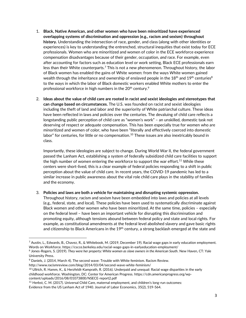- 1. **Black, Native American, and other women who have been minoritized have experienced overlapping systems of discrimination and oppression (e.g., racism and sexism) throughout history.** Understanding the intersection of race, gender, and class (along with other identities or experiences) is key to understanding the entrenched, structural inequities that exist today for ECE professionals. Women who are minoritized and women of color in the ECE workforce experience compensation disadvantages because of their gender, occupation, *and* race. For example, even after accounting for factors such as education level or work setting, Black ECE professionals earn less than their White counterparts.<sup>7</sup> This is not a new phenomenon. Throughout history, the labor of Black women has enabled the gains of White women: from the ways White women gained wealth through the inheritance and ownership of enslaved people in the  $18<sup>th</sup>$  and  $19<sup>th</sup>$  centuries<sup>8</sup> to the ways in which the labor of Black domestic workers enabled White mothers to enter the professional workforce in high numbers in the 20<sup>th</sup> century.<sup>9</sup>
- 2. **Ideas about the value of child care are rooted in racist and sexist ideologies and stereotypes that can change based on circumstances.** The U.S. was founded on racist and sexist ideologies including the theft of land and labor and the superiority of White patriarchal culture. These ideas have been reflected in laws and policies over the centuries. The devaluing of child care reflects a longstanding public perception of child care as "women's work" – an unskilled, domestic task not deserving of respect or adequate compensation. This has been especially true for women who are minoritized and women of color, who have been "literally and effectively coerced into domestic labor" for centuries, for little or no compensation.<sup>10</sup> These issues are also inextricably bound in class.

Importantly, these ideologies are subject to change. During World War II, the federal government passed the Lanham Act, establishing a system of federally subsidized child care facilities to support the high number of women entering the workforce to support the war effort.<sup>11</sup> While these centers were short-lived, this is a clear example of federal policies responding to a shift in public perception about the value of child care. In recent years, the COVID-19 pandemic has led to a similar increase in public awareness about the vital role child care plays in the stability of families and the economy.

3. **Policies and laws are both a vehicle for maintaining and disrupting systemic oppression.**

Throughout history, racism and sexism have been embedded into laws and policies at all levels (e.g., federal, state, and local). These policies have been used to systematically discriminate against Black women and other women who have been minoritized. At the same time, policies – especially on the federal level – have been an important vehicle for disrupting this discrimination and promoting equity, although tensions abound between federal policy and state and local rights. For example, as constitutional amendments at the federal level abolished slavery and gave basic rights and citizenship to Black Americans in the  $19<sup>th</sup>$  century, a strong backlash emerged at the state and

 $^7$  Austin, L., Edwards, B., Chavez, R., & Whitebook, M. (2019, December 19). Racial wage gaps in early education employment. Words on Workforce. https://cscce.berkeley.edu/racial-wage-gaps-in-earlyeducation-employment/

<sup>8</sup> Jones-Rogers, S. (2019). *They were her property: White women as slave owners in the American South*. New Haven, CT: Yale University Press.

<sup>9</sup> Daniels, J. (2014, March 4). The second wave: Trouble with White feminism. Racism Review.

http://www.racismreview.com/blog/2014/03/04/second-wave-white-feminism/

<sup>10</sup> Ullrich, R. Hamm, K., & Herzfeldt-Kamprath, R. (2016). Underpaid and unequal: Racial wage disparities in the early childhood workforce. Washington, DC: Center for American Progress. https://cdn.americanprogress.org/wpcontent/uploads/2016/08/01073800/NSECE-report2.pdf

<sup>11</sup> Herbst, C. M. (2017). Universal Child Care, maternal employment, and children's long-run outcomes: Evidence from the US Lanham Act of 1940. Journal of Labor Economics, 35(2), 519-564.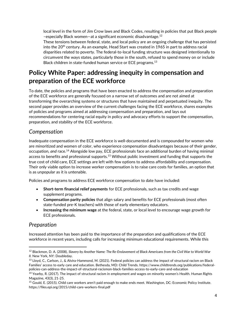local level in the form of Jim Crow laws and Black Codes, resulting in policies that put Black people –especially Black women—at a significant economic disadvantage.<sup>12</sup>

These tensions between federal, state, and local policy are an ongoing challenge that has persisted into the  $20<sup>th</sup>$  century. As an example, Head Start was created in 1965 in part to address racial disparities related to poverty. The federal-to-local funding structure was designed intentionally to circumvent the ways states, particularly those in the south, refused to spend money on or include Black children in state-funded human service or ECE programs.<sup>13</sup>

# **Policy White Paper: addressing inequity in compensation and preparation of the ECE workforce**

To date, the policies and programs that have been enacted to address the compensation and preparation of the ECE workforce are generally focused on a narrow set of outcomes and are not aimed at transforming the overarching systems or structures that have maintained and perpetuated inequity. The second paper provides an overview of the current challenges facing the ECE workforce, shares examples of policies and programs aimed at addressing compensation and preparation, and lays out recommendations for centering racial equity in policy and advocacy efforts to support the compensation, preparation, and stability of the ECE workforce.

### *Compensation*

Inadequate compensation in the ECE workforce is well-documented and is compounded for women who are minoritized and women of color, who experience compensation disadvantages because of their gender, occupation, *and* race.<sup>14</sup> Alongside low pay, ECE professionals face an additional burden of having minimal access to benefits and professional supports.<sup>15</sup> Without public investment and funding that supports the true cost of child care, ECE settings are left with few options to address affordability and compensation. Their only viable option to increase worker compensation is to raise care costs for families, an option that is as unpopular as it is untenable.

Policies and programs to address ECE workforce compensation to date have included:

- **Short-term financial relief payments** for ECE professionals, such as tax credits and wage supplement programs.
- **Compensation parity policies** that align salary and benefits for ECE professionals (most often state-funded pre-K teachers) with those of early elementary educators.
- **Increasing the minimum wage** at the federal, state, or local level to encourage wage growth for ECE professionals.

### *Preparation*

Increased attention has been paid to the importance of the preparation and qualifications of the ECE workforce in recent years, including calls for increasing minimum educational requirements. While this

<sup>12</sup> Blackmon, D. A. (2008), *Slavery by Another Name: The Re-Enslavement of Black Americans from the Civil War to World War II.* New York, NY: Doubleday.

<sup>13</sup> Lloyd, C., Carlson, J., & Alvira-Hammond, M. (2021). Federal policies can address the impact of structural racism on Black Families' access to early care and education. Bethesda, MD: Child Trends. https://www.childtrends.org/publications/federalpolicies-can-address-the-impact-of-structural-racismon-black-families-access-to-early-care-and-education

<sup>&</sup>lt;sup>14</sup> Yearby, R. (2017). The impact of structural racism in employment and wages on minority women's Health. Human Rights Magazine, 43(3), 21-25.

<sup>15</sup> Gould, E. (2015). Child care workers aren't paid enough to make ends meet. Washington, DC: Economic Policy Institute. https://files.epi.org/2015/child-care-workers-final.pdf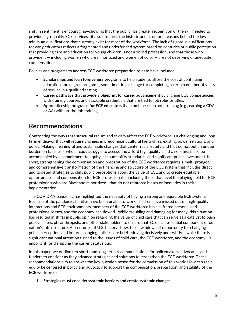shift in sentiment is encouraging—showing that the public has greater recognition of the skill needed to provide high-quality ECE services—it also obscures the historic and structural reasons behind the low minimum qualifications that currently exist for most of the workforce. The lack of rigorous qualifications for early educators reflects a fragmented and underfunded system based on centuries of public perception that providing care and education for young children is not a skilled profession, and that those who provide it — including women who are minoritized and women of color — are not deserving of adequate compensation.

Policies and programs to address ECE workforce preparation to date have included:

- **Scholarships and loan forgiveness programs** to help students afford the cost of continuing education and degree programs, sometimes in exchange for completing a certain number of years of service in a qualified setting.
- **Career pathways that provide a blueprint for career advancement** by aligning ECE competencies with training courses and stackable credentials that are tied to job roles or titles.
- **Apprenticeship programs for ECE educators** that combine classroom training (e.g., earning a CDA or AA) with on-the-job training.

# **Recommendations**

Confronting the ways that structural racism and sexism affect the ECE workforce is a challenging and longterm endeavor that will require changes in predominant cultural hierarchies, existing power relations, and policy. Making meaningful and sustainable changes that center racial equity and that do not put an undue burden on families – who already struggle to access and afford high quality child care – must also be accompanied by a commitment to equity, accountability standards, and significant public investment. In short, strengthening the compensation and preparation of the ECE workforce requires a multi-pronged and comprehensive transformation of the financing and structure of the ECE system that includes direct and targeted strategies to shift public perceptions about the value of ECE and to create equitable opportunities and compensation for ECE professionals—including those that level the playing field for ECE professionals who are Black and minoritized—that do not reinforce biases or inequities in their implementation.

The COVID-19 pandemic has highlighted the necessity of having a strong and equitable ECE system. Because of the pandemic, families have been unable to work, children have missed out on high-quality interactions and ECE environments, members of the ECE workforce have suffered personal and professional losses, and the economy has slowed. While troubling and damaging for many, this situation has resulted in shifts in public opinion regarding the value of child care that can serve as a catalyst to push policymakers, philanthropists, and other stakeholders to ensure that ECE is an essential component of our nation's infrastructure. As centuries of U.S. history show, these windows of opportunity for changing public perception, and in turn changing policies, are brief. Moving decisively and swiftly —while there is significant national attention turned to the issues of child care, the ECE workforce, and the economy—is important for disrupting the current status quo.

In this paper, we outline ten short- and long-term recommendations for policymakers, advocates, and funders to consider as they advance strategies and solutions to strengthen the ECE workforce. These recommendations aim to answer the key question posed for the commission of this work: How can racial equity be centered in policy and advocacy to support the compensation, preparation, and stability of the ECE workforce?

1. **Strategies must consider systemic barriers and create systemic changes.**